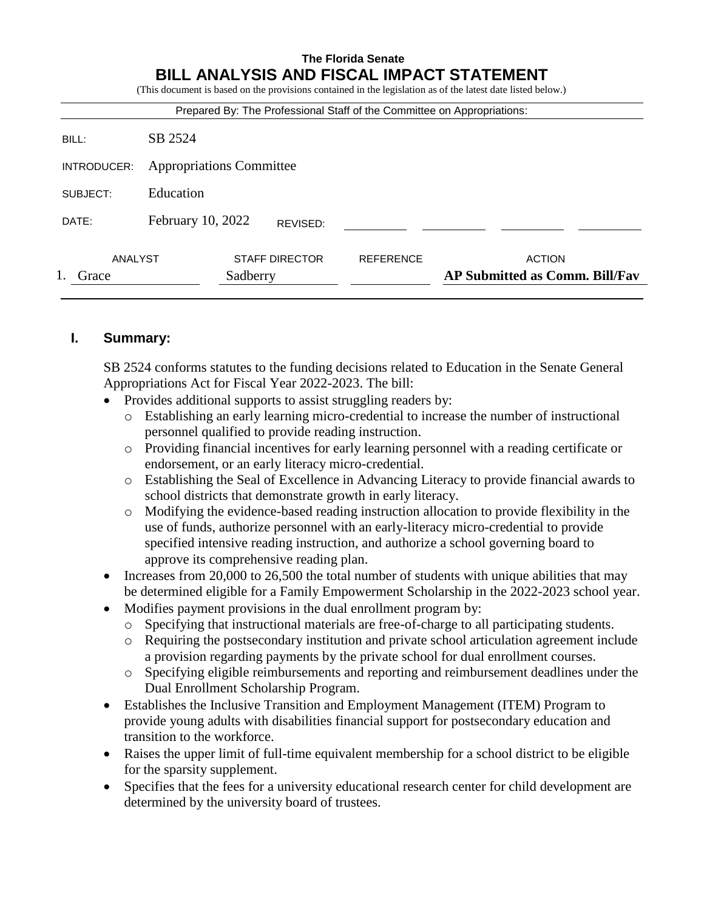# **The Florida Senate BILL ANALYSIS AND FISCAL IMPACT STATEMENT**

(This document is based on the provisions contained in the legislation as of the latest date listed below.)

| Prepared By: The Professional Staff of the Committee on Appropriations: |                                 |                       |                  |                                                        |
|-------------------------------------------------------------------------|---------------------------------|-----------------------|------------------|--------------------------------------------------------|
| BILL:                                                                   | SB 2524                         |                       |                  |                                                        |
| INTRODUCER:                                                             | <b>Appropriations Committee</b> |                       |                  |                                                        |
| SUBJECT:                                                                | Education                       |                       |                  |                                                        |
| DATE:                                                                   | February 10, 2022               | REVISED:              |                  |                                                        |
| ANALYST<br>Grace                                                        | Sadberry                        | <b>STAFF DIRECTOR</b> | <b>REFERENCE</b> | <b>ACTION</b><br><b>AP Submitted as Comm. Bill/Fav</b> |

# **I. Summary:**

SB 2524 conforms statutes to the funding decisions related to Education in the Senate General Appropriations Act for Fiscal Year 2022-2023. The bill:

- Provides additional supports to assist struggling readers by:
	- o Establishing an early learning micro-credential to increase the number of instructional personnel qualified to provide reading instruction.
	- o Providing financial incentives for early learning personnel with a reading certificate or endorsement, or an early literacy micro-credential.
	- o Establishing the Seal of Excellence in Advancing Literacy to provide financial awards to school districts that demonstrate growth in early literacy.
	- o Modifying the evidence-based reading instruction allocation to provide flexibility in the use of funds, authorize personnel with an early-literacy micro-credential to provide specified intensive reading instruction, and authorize a school governing board to approve its comprehensive reading plan.
- Increases from 20,000 to 26,500 the total number of students with unique abilities that may be determined eligible for a Family Empowerment Scholarship in the 2022-2023 school year.
- Modifies payment provisions in the dual enrollment program by:
	- o Specifying that instructional materials are free-of-charge to all participating students.
	- o Requiring the postsecondary institution and private school articulation agreement include a provision regarding payments by the private school for dual enrollment courses.
	- o Specifying eligible reimbursements and reporting and reimbursement deadlines under the Dual Enrollment Scholarship Program.
- Establishes the Inclusive Transition and Employment Management (ITEM) Program to provide young adults with disabilities financial support for postsecondary education and transition to the workforce.
- Raises the upper limit of full-time equivalent membership for a school district to be eligible for the sparsity supplement.
- Specifies that the fees for a university educational research center for child development are determined by the university board of trustees.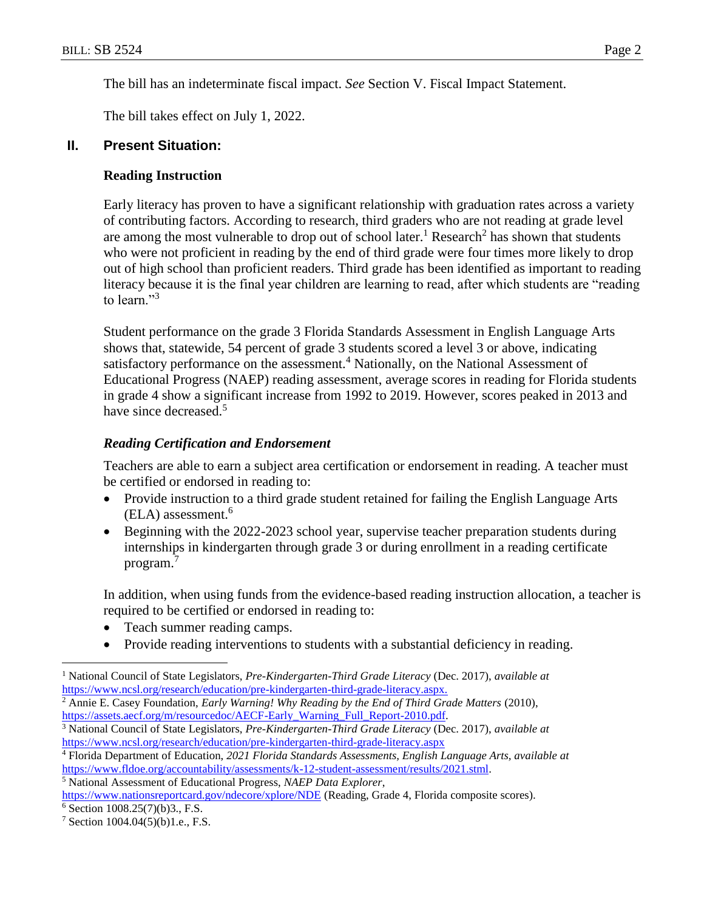The bill has an indeterminate fiscal impact. *See* Section V. Fiscal Impact Statement.

The bill takes effect on July 1, 2022.

# **II. Present Situation:**

### **Reading Instruction**

Early literacy has proven to have a significant relationship with graduation rates across a variety of contributing factors. According to research, third graders who are not reading at grade level are among the most vulnerable to drop out of school later.<sup>1</sup> Research<sup>2</sup> has shown that students who were not proficient in reading by the end of third grade were four times more likely to drop out of high school than proficient readers. Third grade has been identified as important to reading literacy because it is the final year children are learning to read, after which students are "reading to learn."<sup>3</sup>

Student performance on the grade 3 Florida Standards Assessment in English Language Arts shows that, statewide, 54 percent of grade 3 students scored a level 3 or above, indicating satisfactory performance on the assessment.<sup>4</sup> Nationally, on the National Assessment of Educational Progress (NAEP) reading assessment, average scores in reading for Florida students in grade 4 show a significant increase from 1992 to 2019. However, scores peaked in 2013 and have since decreased.<sup>5</sup>

# *Reading Certification and Endorsement*

Teachers are able to earn a subject area certification or endorsement in reading. A teacher must be certified or endorsed in reading to:

- Provide instruction to a third grade student retained for failing the English Language Arts (ELA) assessment. 6
- Beginning with the 2022-2023 school year, supervise teacher preparation students during internships in kindergarten through grade 3 or during enrollment in a reading certificate program.<sup>7</sup>

In addition, when using funds from the evidence-based reading instruction allocation, a teacher is required to be certified or endorsed in reading to:

- Teach summer reading camps.
- Provide reading interventions to students with a substantial deficiency in reading.

<sup>1</sup> National Council of State Legislators, *Pre-Kindergarten-Third Grade Literacy* (Dec. 2017), *available at* [https://www.ncsl.org/research/education/pre-kindergarten-third-grade-literacy.aspx.](https://www.ncsl.org/research/education/pre-kindergarten-third-grade-literacy.aspx) <sup>2</sup> Annie E. Casey Foundation, *Early Warning! Why Reading by the End of Third Grade Matters* (2010),

[https://assets.aecf.org/m/resourcedoc/AECF-Early\\_Warning\\_Full\\_Report-2010.pdf.](https://assets.aecf.org/m/resourcedoc/AECF-Early_Warning_Full_Report-2010.pdf)

<sup>3</sup> National Council of State Legislators, *Pre-Kindergarten-Third Grade Literacy* (Dec. 2017), *available at* <https://www.ncsl.org/research/education/pre-kindergarten-third-grade-literacy.aspx>

<sup>4</sup> Florida Department of Education, *2021 Florida Standards Assessments, English Language Arts, available at* [https://www.fldoe.org/accountability/assessments/k-12-student-assessment/results/2021.stml.](https://www.fldoe.org/accountability/assessments/k-12-student-assessment/results/2021.stml) 

<sup>5</sup> National Assessment of Educational Progress, *NAEP Data Explorer*,

<https://www.nationsreportcard.gov/ndecore/xplore/NDE> (Reading, Grade 4, Florida composite scores).

 $6$  Section 1008.25(7)(b)3., F.S.

<sup>7</sup> Section 1004.04(5)(b)1.e., F.S.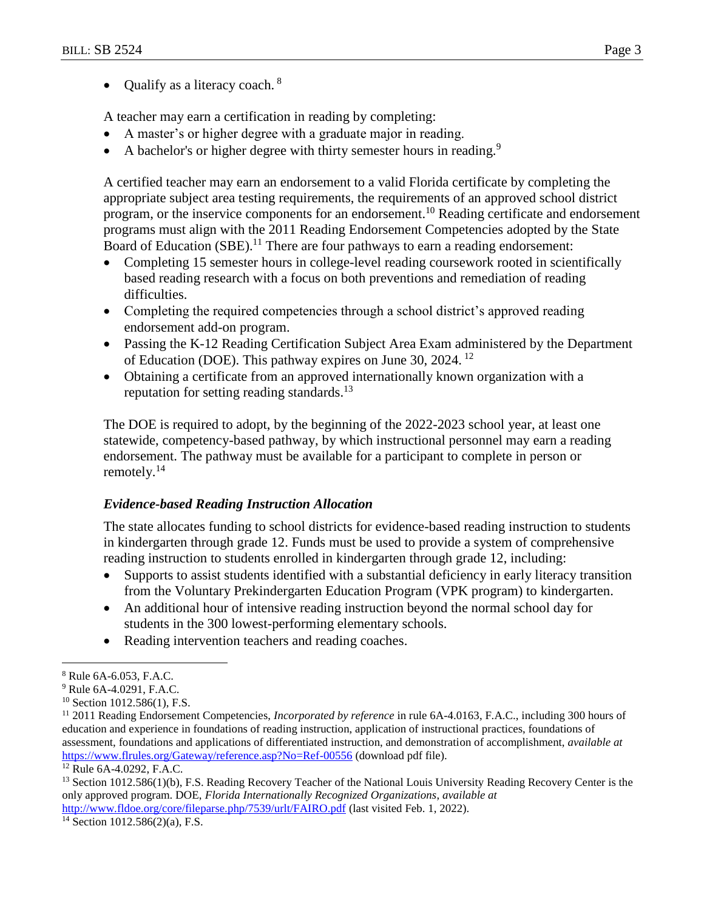• Qualify as a literacy coach.  $8$ 

A teacher may earn a certification in reading by completing:

- A master's or higher degree with a graduate major in reading.
- A bachelor's or higher degree with thirty semester hours in reading.<sup>9</sup>

A certified teacher may earn an endorsement to a valid Florida certificate by completing the appropriate subject area testing requirements, the requirements of an approved school district program, or the inservice components for an endorsement.<sup>10</sup> Reading certificate and endorsement programs must align with the 2011 Reading Endorsement Competencies adopted by the State Board of Education (SBE).<sup>11</sup> There are four pathways to earn a reading endorsement:

- Completing 15 semester hours in college-level reading coursework rooted in scientifically based reading research with a focus on both preventions and remediation of reading difficulties.
- Completing the required competencies through a school district's approved reading endorsement add-on program.
- Passing the K-12 Reading Certification Subject Area Exam administered by the Department of Education (DOE). This pathway expires on June 30, 2024. <sup>12</sup>
- Obtaining a certificate from an approved internationally known organization with a reputation for setting reading standards.<sup>13</sup>

The DOE is required to adopt, by the beginning of the 2022-2023 school year, at least one statewide, competency-based pathway, by which instructional personnel may earn a reading endorsement. The pathway must be available for a participant to complete in person or remotely.<sup>14</sup>

#### *Evidence-based Reading Instruction Allocation*

The state allocates funding to school districts for evidence-based reading instruction to students in kindergarten through grade 12. Funds must be used to provide a system of comprehensive reading instruction to students enrolled in kindergarten through grade 12, including:

- Supports to assist students identified with a substantial deficiency in early literacy transition from the Voluntary Prekindergarten Education Program (VPK program) to kindergarten.
- An additional hour of intensive reading instruction beyond the normal school day for students in the 300 lowest-performing elementary schools.
- Reading intervention teachers and reading coaches.

 $\overline{a}$ 

<sup>12</sup> Rule 6A-4.0292, F.A.C.

<sup>13</sup> Section 1012.586(1)(b), F.S. Reading Recovery Teacher of the National Louis University Reading Recovery Center is the only approved program. DOE, *Florida Internationally Recognized Organizations*, *available at*  <http://www.fldoe.org/core/fileparse.php/7539/urlt/FAIRO.pdf> (last visited Feb. 1, 2022).

 $14$  Section 1012.586(2)(a), F.S.

<sup>8</sup> Rule 6A-6.053, F.A.C.

<sup>9</sup> Rule 6A-4.0291, F.A.C.

<sup>&</sup>lt;sup>10</sup> Section 1012.586(1), F.S.

<sup>11</sup> 2011 Reading Endorsement Competencies, *Incorporated by reference* in rule 6A-4.0163, F.A.C., including 300 hours of education and experience in foundations of reading instruction, application of instructional practices, foundations of assessment, foundations and applications of differentiated instruction, and demonstration of accomplishment, *available at*  <https://www.flrules.org/Gateway/reference.asp?No=Ref-00556> (download pdf file).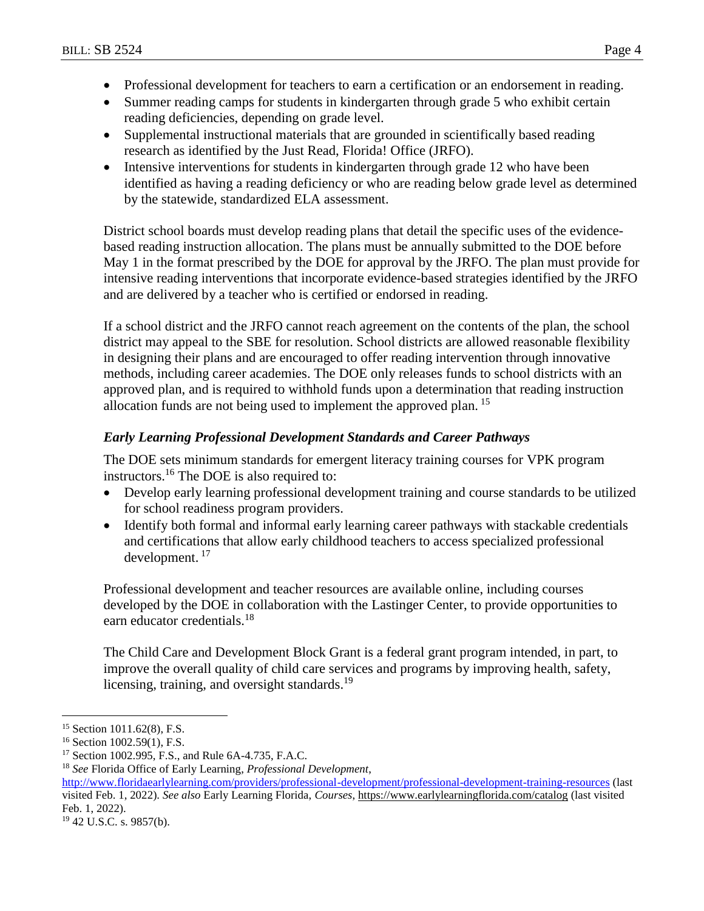- Professional development for teachers to earn a certification or an endorsement in reading.
- Summer reading camps for students in kindergarten through grade 5 who exhibit certain reading deficiencies, depending on grade level.
- Supplemental instructional materials that are grounded in scientifically based reading research as identified by the Just Read, Florida! Office (JRFO).
- Intensive interventions for students in kindergarten through grade 12 who have been identified as having a reading deficiency or who are reading below grade level as determined by the statewide, standardized ELA assessment.

District school boards must develop reading plans that detail the specific uses of the evidencebased reading instruction allocation. The plans must be annually submitted to the DOE before May 1 in the format prescribed by the DOE for approval by the JRFO. The plan must provide for intensive reading interventions that incorporate evidence-based strategies identified by the JRFO and are delivered by a teacher who is certified or endorsed in reading.

If a school district and the JRFO cannot reach agreement on the contents of the plan, the school district may appeal to the SBE for resolution. School districts are allowed reasonable flexibility in designing their plans and are encouraged to offer reading intervention through innovative methods, including career academies. The DOE only releases funds to school districts with an approved plan, and is required to withhold funds upon a determination that reading instruction allocation funds are not being used to implement the approved plan. <sup>15</sup>

# *Early Learning Professional Development Standards and Career Pathways*

The DOE sets minimum standards for emergent literacy training courses for VPK program instructors.<sup>16</sup> The DOE is also required to:

- Develop early learning professional development training and course standards to be utilized for school readiness program providers.
- Identify both formal and informal early learning career pathways with stackable credentials and certifications that allow early childhood teachers to access specialized professional development. <sup>17</sup>

Professional development and teacher resources are available online, including courses developed by the DOE in collaboration with the Lastinger Center, to provide opportunities to earn educator credentials.<sup>18</sup>

The Child Care and Development Block Grant is a federal grant program intended, in part, to improve the overall quality of child care services and programs by improving health, safety, licensing, training, and oversight standards.<sup>19</sup>

<sup>&</sup>lt;sup>15</sup> Section 1011.62(8), F.S.

<sup>16</sup> Section 1002.59(1), F.S.

<sup>&</sup>lt;sup>17</sup> Section 1002.995, F.S., and Rule 6A-4.735, F.A.C.

<sup>18</sup> *See* Florida Office of Early Learning, *Professional Development*,

<http://www.floridaearlylearning.com/providers/professional-development/professional-development-training-resources> (last visited Feb. 1, 2022). *See also* Early Learning Florida, *Courses*[, https://www.earlylearningflorida.com/catalog](https://www.earlylearningflorida.com/catalog) [\(](https://www.earlylearningflorida.com/catalog)last visited Feb. 1, 2022).

<sup>19</sup> 42 U.S.C. s. 9857(b).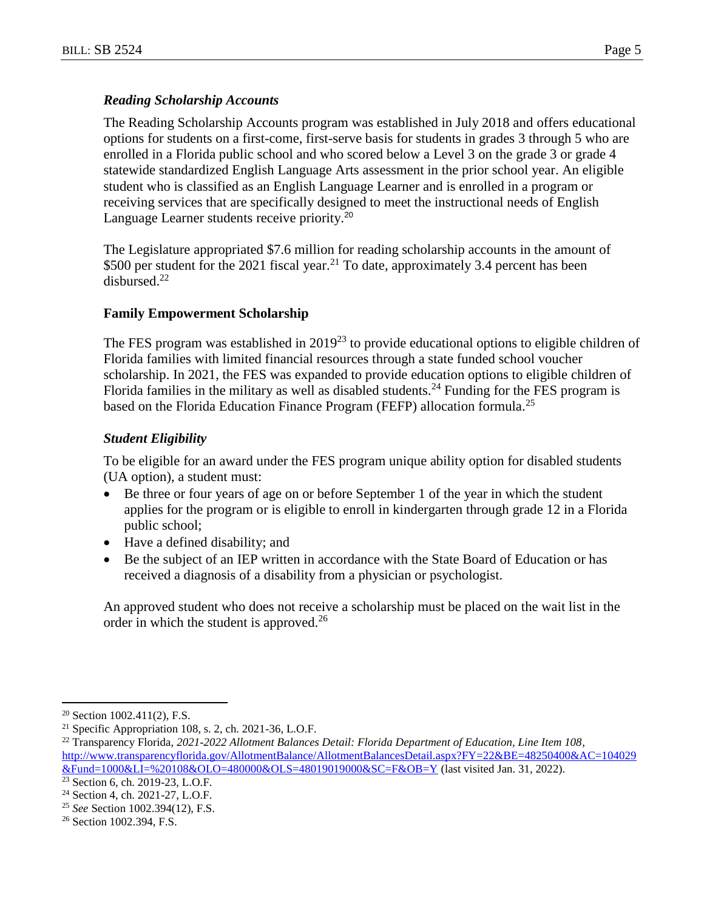# *Reading Scholarship Accounts*

The Reading Scholarship Accounts program was established in July 2018 and offers educational options for students on a first-come, first-serve basis for students in grades 3 through 5 who are enrolled in a Florida public school and who scored below a Level 3 on the grade 3 or grade 4 statewide standardized English Language Arts assessment in the prior school year. An eligible student who is classified as an English Language Learner and is enrolled in a program or receiving services that are specifically designed to meet the instructional needs of English Language Learner students receive priority.<sup>20</sup>

The Legislature appropriated \$7.6 million for reading scholarship accounts in the amount of \$500 per student for the 2021 fiscal year.<sup>21</sup> To date, approximately 3.4 percent has been disbursed.<sup>22</sup>

#### **Family Empowerment Scholarship**

The FES program was established in  $2019^{23}$  to provide educational options to eligible children of Florida families with limited financial resources through a state funded school voucher scholarship. In 2021, the FES was expanded to provide education options to eligible children of Florida families in the military as well as disabled students.<sup>24</sup> Funding for the FES program is based on the Florida Education Finance Program (FEFP) allocation formula.<sup>25</sup>

# *Student Eligibility*

To be eligible for an award under the FES program unique ability option for disabled students (UA option), a student must:

- Be three or four years of age on or before September 1 of the year in which the student applies for the program or is eligible to enroll in kindergarten through grade 12 in a Florida public school;
- Have a defined disability; and
- Be the subject of an IEP written in accordance with the State Board of Education or has received a diagnosis of a disability from a physician or psychologist.

An approved student who does not receive a scholarship must be placed on the wait list in the order in which the student is approved.<sup>26</sup>

 $20$  Section 1002.411(2), F.S.

<sup>&</sup>lt;sup>21</sup> Specific Appropriation 108, s. 2, ch. 2021-36, L.O.F.

<sup>22</sup> Transparency Florida, *2021-2022 Allotment Balances Detail: Florida Department of Education, Line Item 108*, [http://www.transparencyflorida.gov/AllotmentBalance/AllotmentBalancesDetail.aspx?FY=22&BE=48250400&AC=104029](http://www.transparencyflorida.gov/AllotmentBalance/AllotmentBalancesDetail.aspx?FY=22&BE=48250400&AC=104029&Fund=1000&LI=%20108&OLO=480000&OLS=48019019000&SC=F&OB=Y) [&Fund=1000&LI=%20108&OLO=480000&OLS=48019019000&SC=F&OB=Y](http://www.transparencyflorida.gov/AllotmentBalance/AllotmentBalancesDetail.aspx?FY=22&BE=48250400&AC=104029&Fund=1000&LI=%20108&OLO=480000&OLS=48019019000&SC=F&OB=Y) (last visited Jan. 31, 2022).

<sup>23</sup> Section 6, ch. 2019-23, L.O.F.

<sup>24</sup> Section 4, ch. 2021-27, L.O.F.

<sup>25</sup> *See* Section 1002.394(12), F.S.

<sup>26</sup> Section 1002.394, F.S.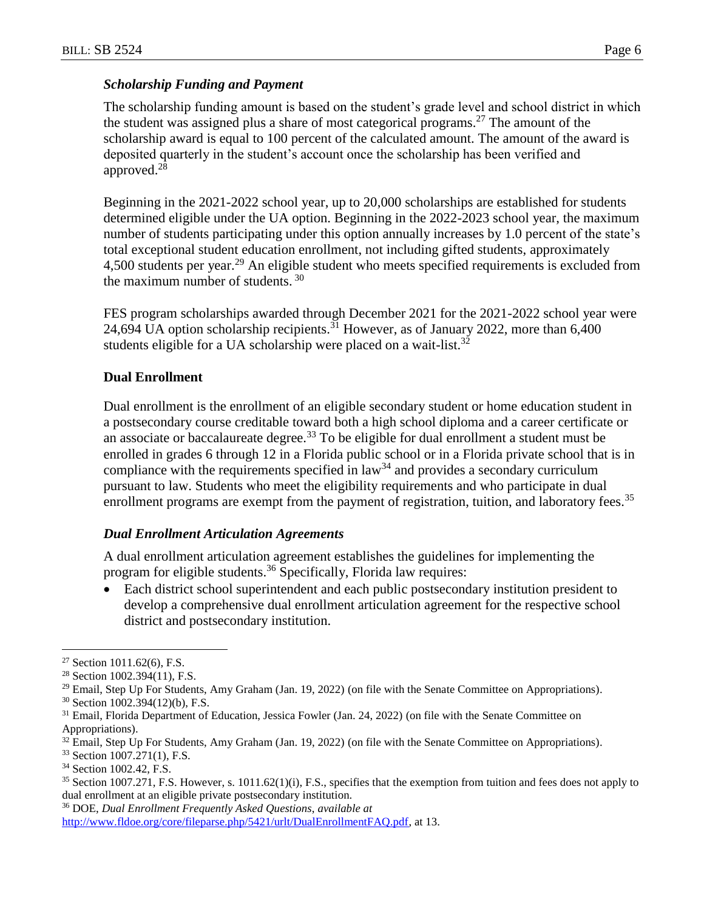#### *Scholarship Funding and Payment*

The scholarship funding amount is based on the student's grade level and school district in which the student was assigned plus a share of most categorical programs.<sup>27</sup> The amount of the scholarship award is equal to 100 percent of the calculated amount. The amount of the award is deposited quarterly in the student's account once the scholarship has been verified and approved.<sup>28</sup>

Beginning in the 2021-2022 school year, up to 20,000 scholarships are established for students determined eligible under the UA option. Beginning in the 2022-2023 school year, the maximum number of students participating under this option annually increases by 1.0 percent of the state's total exceptional student education enrollment, not including gifted students, approximately 4,500 students per year.<sup>29</sup> An eligible student who meets specified requirements is excluded from the maximum number of students. <sup>30</sup>

FES program scholarships awarded through December 2021 for the 2021-2022 school year were 24,694 UA option scholarship recipients.<sup>31</sup> However, as of January 2022, more than 6,400 students eligible for a UA scholarship were placed on a wait-list. $32$ 

#### **Dual Enrollment**

Dual enrollment is the enrollment of an eligible secondary student or home education student in a postsecondary course creditable toward both a high school diploma and a career certificate or an associate or baccalaureate degree.<sup>33</sup> To be eligible for dual enrollment a student must be enrolled in grades 6 through 12 in a Florida public school or in a Florida private school that is in compliance with the requirements specified in  $law<sup>34</sup>$  and provides a secondary curriculum pursuant to law. Students who meet the eligibility requirements and who participate in dual enrollment programs are exempt from the payment of registration, tuition, and laboratory fees.<sup>35</sup>

#### *Dual Enrollment Articulation Agreements*

A dual enrollment articulation agreement establishes the guidelines for implementing the program for eligible students.<sup>36</sup> Specifically, Florida law requires:

 Each district school superintendent and each public postsecondary institution president to develop a comprehensive dual enrollment articulation agreement for the respective school district and postsecondary institution.

 $27$  Section 1011.62(6), F.S.

<sup>28</sup> Section 1002.394(11), F.S.

<sup>&</sup>lt;sup>29</sup> Email, Step Up For Students, Amy Graham (Jan. 19, 2022) (on file with the Senate Committee on Appropriations).

<sup>30</sup> Section 1002.394(12)(b), F.S.

<sup>&</sup>lt;sup>31</sup> Email, Florida Department of Education, Jessica Fowler (Jan. 24, 2022) (on file with the Senate Committee on Appropriations).

 $32$  Email, Step Up For Students, Amy Graham (Jan. 19, 2022) (on file with the Senate Committee on Appropriations).

<sup>33</sup> Section 1007.271(1), F.S.

<sup>&</sup>lt;sup>34</sup> Section 1002.42, F.S.

<sup>35</sup> Section 1007.271, F.S. However, s. 1011.62(1)(i), F.S., specifies that the exemption from tuition and fees does not apply to dual enrollment at an eligible private postsecondary institution.

<sup>36</sup> DOE, *Dual Enrollment Frequently Asked Questions*, *available at* [http://www.fldoe.org/core/fileparse.php/5421/urlt/DualEnrollmentFAQ.pdf,](http://www.fldoe.org/core/fileparse.php/5421/urlt/DualEnrollmentFAQ.pdf) at 13.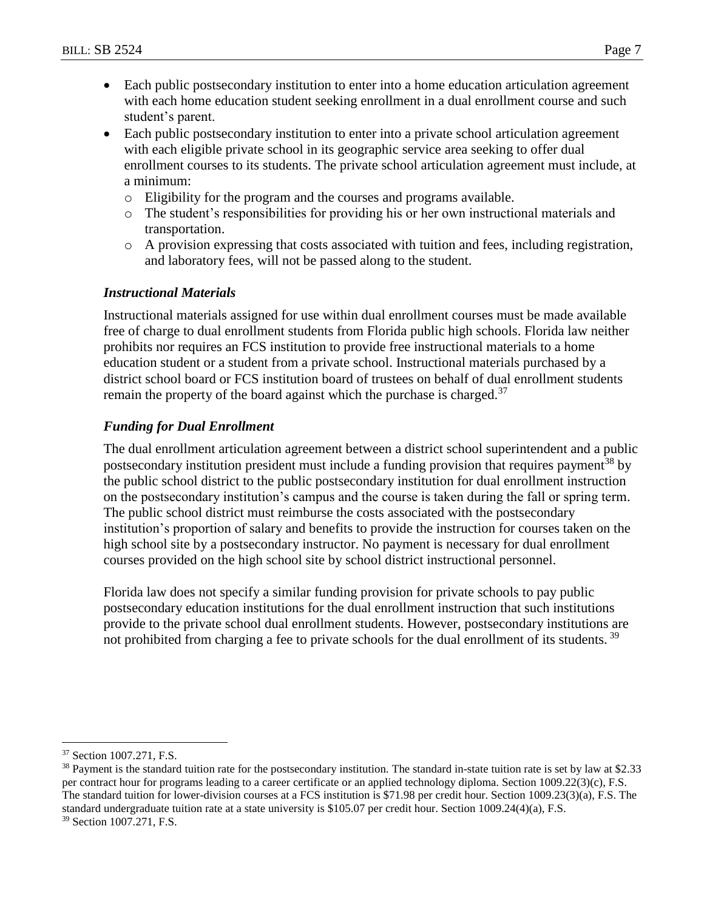- Each public postsecondary institution to enter into a home education articulation agreement with each home education student seeking enrollment in a dual enrollment course and such student's parent.
- Each public postsecondary institution to enter into a private school articulation agreement with each eligible private school in its geographic service area seeking to offer dual enrollment courses to its students. The private school articulation agreement must include, at a minimum:
	- o Eligibility for the program and the courses and programs available.
	- o The student's responsibilities for providing his or her own instructional materials and transportation.
	- o A provision expressing that costs associated with tuition and fees, including registration, and laboratory fees, will not be passed along to the student.

#### *Instructional Materials*

Instructional materials assigned for use within dual enrollment courses must be made available free of charge to dual enrollment students from Florida public high schools. Florida law neither prohibits nor requires an FCS institution to provide free instructional materials to a home education student or a student from a private school. Instructional materials purchased by a district school board or FCS institution board of trustees on behalf of dual enrollment students remain the property of the board against which the purchase is charged.<sup>37</sup>

#### *Funding for Dual Enrollment*

The dual enrollment articulation agreement between a district school superintendent and a public postsecondary institution president must include a funding provision that requires payment<sup>38</sup> by the public school district to the public postsecondary institution for dual enrollment instruction on the postsecondary institution's campus and the course is taken during the fall or spring term. The public school district must reimburse the costs associated with the postsecondary institution's proportion of salary and benefits to provide the instruction for courses taken on the high school site by a postsecondary instructor. No payment is necessary for dual enrollment courses provided on the high school site by school district instructional personnel.

Florida law does not specify a similar funding provision for private schools to pay public postsecondary education institutions for the dual enrollment instruction that such institutions provide to the private school dual enrollment students. However, postsecondary institutions are not prohibited from charging a fee to private schools for the dual enrollment of its students.<sup>39</sup>

<sup>&</sup>lt;sup>37</sup> Section 1007.271, F.S.

<sup>&</sup>lt;sup>38</sup> Payment is the standard tuition rate for the postsecondary institution. The standard in-state tuition rate is set by law at \$2.33 per contract hour for programs leading to a career certificate or an applied technology diploma. Section 1009.22(3)(c), F.S. The standard tuition for lower-division courses at a FCS institution is \$71.98 per credit hour. Section 1009.23(3)(a), F.S. The standard undergraduate tuition rate at a state university is \$105.07 per credit hour. Section 1009.24(4)(a), F.S.

<sup>39</sup> Section 1007.271, F.S.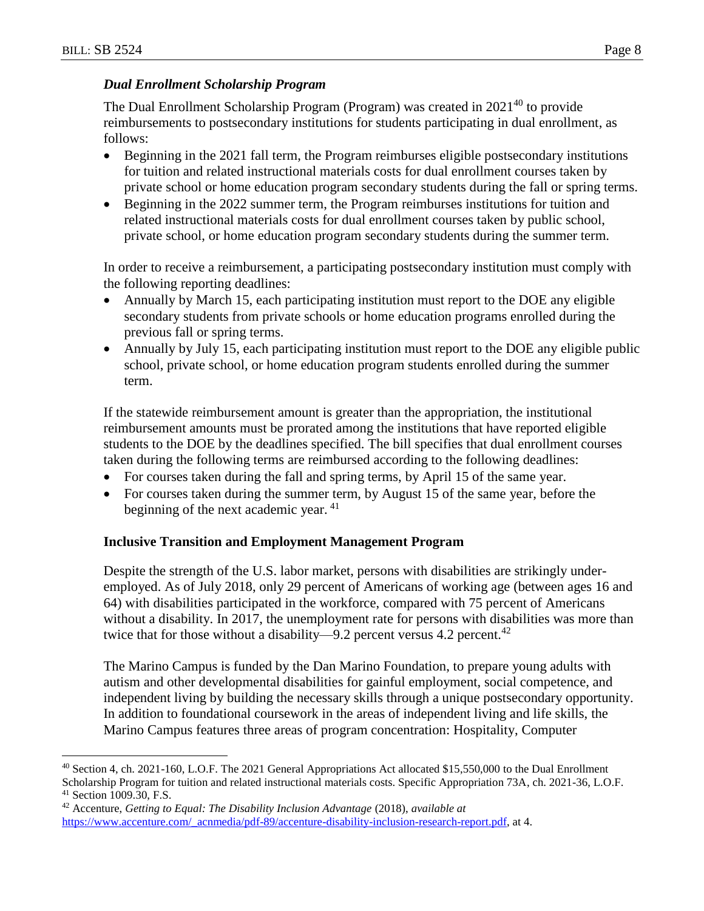$\overline{a}$ 

# *Dual Enrollment Scholarship Program*

The Dual Enrollment Scholarship Program (Program) was created in  $2021^{40}$  to provide reimbursements to postsecondary institutions for students participating in dual enrollment, as follows:

- Beginning in the 2021 fall term, the Program reimburses eligible postsecondary institutions for tuition and related instructional materials costs for dual enrollment courses taken by private school or home education program secondary students during the fall or spring terms.
- Beginning in the 2022 summer term, the Program reimburses institutions for tuition and related instructional materials costs for dual enrollment courses taken by public school, private school, or home education program secondary students during the summer term.

In order to receive a reimbursement, a participating postsecondary institution must comply with the following reporting deadlines:

- Annually by March 15, each participating institution must report to the DOE any eligible secondary students from private schools or home education programs enrolled during the previous fall or spring terms.
- Annually by July 15, each participating institution must report to the DOE any eligible public school, private school, or home education program students enrolled during the summer term.

If the statewide reimbursement amount is greater than the appropriation, the institutional reimbursement amounts must be prorated among the institutions that have reported eligible students to the DOE by the deadlines specified. The bill specifies that dual enrollment courses taken during the following terms are reimbursed according to the following deadlines:

- For courses taken during the fall and spring terms, by April 15 of the same year.
- For courses taken during the summer term, by August 15 of the same year, before the beginning of the next academic year. <sup>41</sup>

# **Inclusive Transition and Employment Management Program**

Despite the strength of the U.S. labor market, persons with disabilities are strikingly underemployed. As of July 2018, only 29 percent of Americans of working age (between ages 16 and 64) with disabilities participated in the workforce, compared with 75 percent of Americans without a disability. In 2017, the unemployment rate for persons with disabilities was more than twice that for those without a disability—9.2 percent versus 4.2 percent.<sup>42</sup>

The Marino Campus is funded by the Dan Marino Foundation, to prepare young adults with autism and other developmental disabilities for gainful employment, social competence, and independent living by building the necessary skills through a unique postsecondary opportunity. In addition to foundational coursework in the areas of independent living and life skills, the Marino Campus features three areas of program concentration: Hospitality, Computer

<sup>40</sup> Section 4, ch. 2021-160, L.O.F. The 2021 General Appropriations Act allocated \$15,550,000 to the Dual Enrollment Scholarship Program for tuition and related instructional materials costs. Specific Appropriation 73A, ch. 2021-36, L.O.F. <sup>41</sup> Section 1009.30, F.S.

<sup>42</sup> Accenture, *Getting to Equal: The Disability Inclusion Advantage* (2018), *available at* [https://www.accenture.com/\\_acnmedia/pdf-89/accenture-disability-inclusion-research-report.pdf,](https://www.accenture.com/_acnmedia/pdf-89/accenture-disability-inclusion-research-report.pdf) at 4.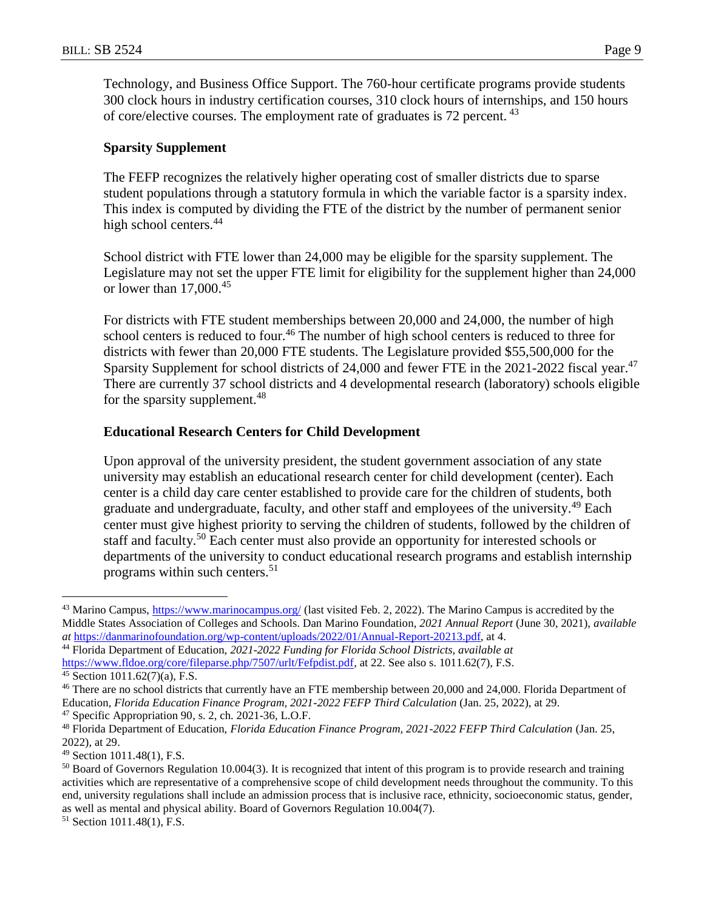Technology, and Business Office Support. The 760-hour certificate programs provide students 300 clock hours in industry certification courses, 310 clock hours of internships, and 150 hours of core/elective courses. The employment rate of graduates is 72 percent.<sup>43</sup>

### **Sparsity Supplement**

The FEFP recognizes the relatively higher operating cost of smaller districts due to sparse student populations through a statutory formula in which the variable factor is a sparsity index. This index is computed by dividing the FTE of the district by the number of permanent senior high school centers.<sup>44</sup>

School district with FTE lower than 24,000 may be eligible for the sparsity supplement. The Legislature may not set the upper FTE limit for eligibility for the supplement higher than 24,000 or lower than  $17,000^{45}$ 

For districts with FTE student memberships between 20,000 and 24,000, the number of high school centers is reduced to four.<sup>46</sup> The number of high school centers is reduced to three for districts with fewer than 20,000 FTE students. The Legislature provided \$55,500,000 for the Sparsity Supplement for school districts of 24,000 and fewer FTE in the 2021-2022 fiscal year.<sup>47</sup> There are currently 37 school districts and 4 developmental research (laboratory) schools eligible for the sparsity supplement.<sup>48</sup>

#### **Educational Research Centers for Child Development**

Upon approval of the university president, the student government association of any state university may establish an educational research center for child development (center). Each center is a child day care center established to provide care for the children of students, both graduate and undergraduate, faculty, and other staff and employees of the university.<sup>49</sup> Each center must give highest priority to serving the children of students, followed by the children of staff and faculty.<sup>50</sup> Each center must also provide an opportunity for interested schools or departments of the university to conduct educational research programs and establish internship programs within such centers.<sup>51</sup>

<sup>43</sup> Marino Campus,<https://www.marinocampus.org/> (last visited Feb. 2, 2022). The Marino Campus is accredited by the Middle States Association of Colleges and Schools. Dan Marino Foundation, *2021 Annual Report* (June 30, 2021), *available at* [https://danmarinofoundation.org/wp-content/uploads/2022/01/Annual-Report-20213.pdf,](https://danmarinofoundation.org/wp-content/uploads/2022/01/Annual-Report-20213.pdf) at 4.

<sup>44</sup> Florida Department of Education, *2021-2022 Funding for Florida School Districts, available at* [https://www.fldoe.org/core/fileparse.php/7507/urlt/Fefpdist.pdf,](https://www.fldoe.org/core/fileparse.php/7507/urlt/Fefpdist.pdf) at 22. See also s. 1011.62(7), F.S.

 $45$  Section 1011.62(7)(a), F.S.

<sup>&</sup>lt;sup>46</sup> There are no school districts that currently have an FTE membership between 20,000 and 24,000. Florida Department of Education, *Florida Education Finance Program, 2021-2022 FEFP Third Calculation* (Jan. 25, 2022), at 29.

<sup>47</sup> Specific Appropriation 90, s. 2, ch. 2021-36, L.O.F.

<sup>48</sup> Florida Department of Education, *Florida Education Finance Program, 2021-2022 FEFP Third Calculation* (Jan. 25, 2022), at 29.

<sup>49</sup> Section 1011.48(1), F.S.

 $50$  Board of Governors Regulation 10.004(3). It is recognized that intent of this program is to provide research and training activities which are representative of a comprehensive scope of child development needs throughout the community. To this end, university regulations shall include an admission process that is inclusive race, ethnicity, socioeconomic status, gender, as well as mental and physical ability. Board of Governors Regulation 10.004(7).

<sup>51</sup> Section 1011.48(1), F.S.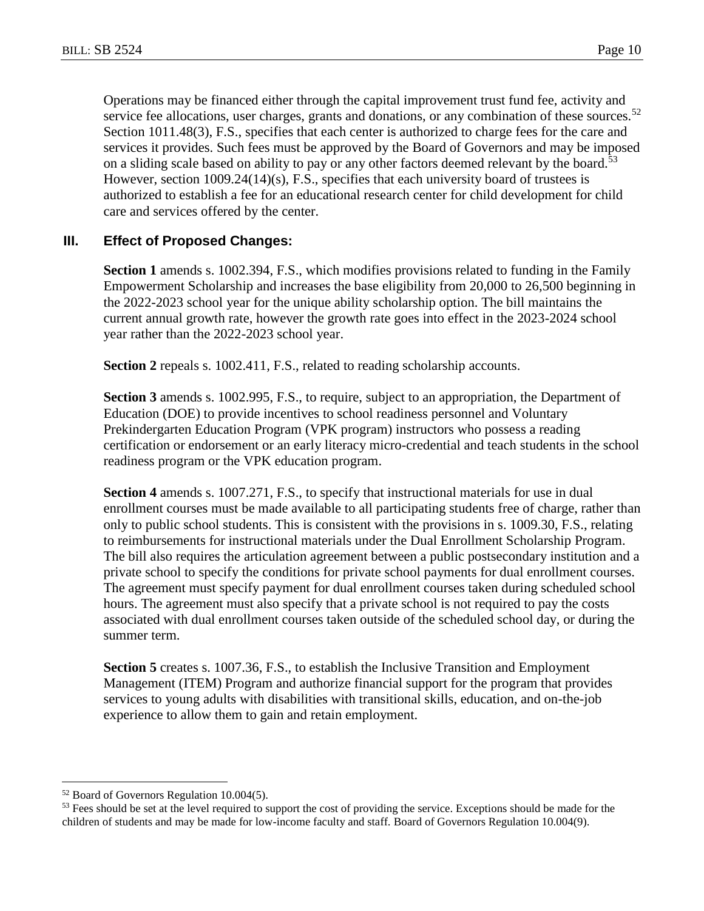Operations may be financed either through the capital improvement trust fund fee, activity and service fee allocations, user charges, grants and donations, or any combination of these sources.<sup>52</sup> Section 1011.48(3), F.S., specifies that each center is authorized to charge fees for the care and services it provides. Such fees must be approved by the Board of Governors and may be imposed on a sliding scale based on ability to pay or any other factors deemed relevant by the board.<sup>53</sup> However, section 1009.24(14)(s), F.S., specifies that each university board of trustees is authorized to establish a fee for an educational research center for child development for child care and services offered by the center.

# **III. Effect of Proposed Changes:**

**Section 1** amends s. 1002.394, F.S., which modifies provisions related to funding in the Family Empowerment Scholarship and increases the base eligibility from 20,000 to 26,500 beginning in the 2022-2023 school year for the unique ability scholarship option. The bill maintains the current annual growth rate, however the growth rate goes into effect in the 2023-2024 school year rather than the 2022-2023 school year.

**Section 2** repeals s. 1002.411, F.S., related to reading scholarship accounts.

**Section 3** amends s. 1002.995, F.S., to require, subject to an appropriation, the Department of Education (DOE) to provide incentives to school readiness personnel and Voluntary Prekindergarten Education Program (VPK program) instructors who possess a reading certification or endorsement or an early literacy micro-credential and teach students in the school readiness program or the VPK education program.

**Section 4** amends s. 1007.271, F.S., to specify that instructional materials for use in dual enrollment courses must be made available to all participating students free of charge, rather than only to public school students. This is consistent with the provisions in s. 1009.30, F.S., relating to reimbursements for instructional materials under the Dual Enrollment Scholarship Program. The bill also requires the articulation agreement between a public postsecondary institution and a private school to specify the conditions for private school payments for dual enrollment courses. The agreement must specify payment for dual enrollment courses taken during scheduled school hours. The agreement must also specify that a private school is not required to pay the costs associated with dual enrollment courses taken outside of the scheduled school day, or during the summer term.

**Section 5** creates s. 1007.36, F.S., to establish the Inclusive Transition and Employment Management (ITEM) Program and authorize financial support for the program that provides services to young adults with disabilities with transitional skills, education, and on-the-job experience to allow them to gain and retain employment.

<sup>52</sup> Board of Governors Regulation 10.004(5).

<sup>&</sup>lt;sup>53</sup> Fees should be set at the level required to support the cost of providing the service. Exceptions should be made for the children of students and may be made for low-income faculty and staff. Board of Governors Regulation 10.004(9).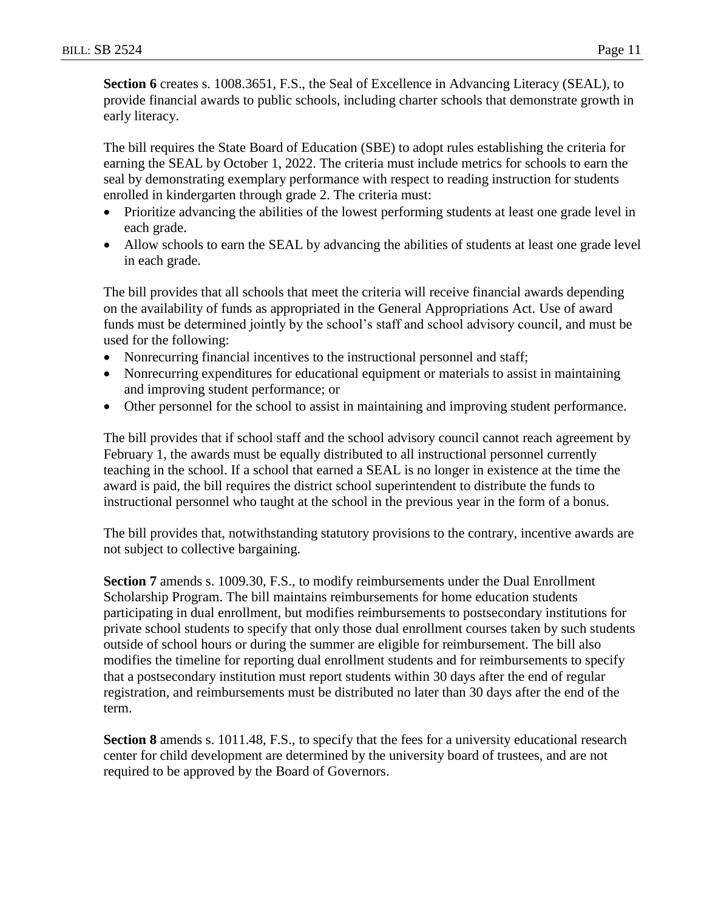**Section 6** creates s. 1008.3651, F.S., the Seal of Excellence in Advancing Literacy (SEAL), to provide financial awards to public schools, including charter schools that demonstrate growth in early literacy.

The bill requires the State Board of Education (SBE) to adopt rules establishing the criteria for earning the SEAL by October 1, 2022. The criteria must include metrics for schools to earn the seal by demonstrating exemplary performance with respect to reading instruction for students enrolled in kindergarten through grade 2. The criteria must:

- Prioritize advancing the abilities of the lowest performing students at least one grade level in each grade.
- Allow schools to earn the SEAL by advancing the abilities of students at least one grade level in each grade.

The bill provides that all schools that meet the criteria will receive financial awards depending on the availability of funds as appropriated in the General Appropriations Act. Use of award funds must be determined jointly by the school's staff and school advisory council, and must be used for the following:

- Nonrecurring financial incentives to the instructional personnel and staff;
- Nonrecurring expenditures for educational equipment or materials to assist in maintaining and improving student performance; or
- Other personnel for the school to assist in maintaining and improving student performance.

The bill provides that if school staff and the school advisory council cannot reach agreement by February 1, the awards must be equally distributed to all instructional personnel currently teaching in the school. If a school that earned a SEAL is no longer in existence at the time the award is paid, the bill requires the district school superintendent to distribute the funds to instructional personnel who taught at the school in the previous year in the form of a bonus.

The bill provides that, notwithstanding statutory provisions to the contrary, incentive awards are not subject to collective bargaining.

**Section 7** amends s. 1009.30, F.S., to modify reimbursements under the Dual Enrollment Scholarship Program. The bill maintains reimbursements for home education students participating in dual enrollment, but modifies reimbursements to postsecondary institutions for private school students to specify that only those dual enrollment courses taken by such students outside of school hours or during the summer are eligible for reimbursement. The bill also modifies the timeline for reporting dual enrollment students and for reimbursements to specify that a postsecondary institution must report students within 30 days after the end of regular registration, and reimbursements must be distributed no later than 30 days after the end of the term.

**Section 8** amends s. 1011.48, F.S., to specify that the fees for a university educational research center for child development are determined by the university board of trustees, and are not required to be approved by the Board of Governors.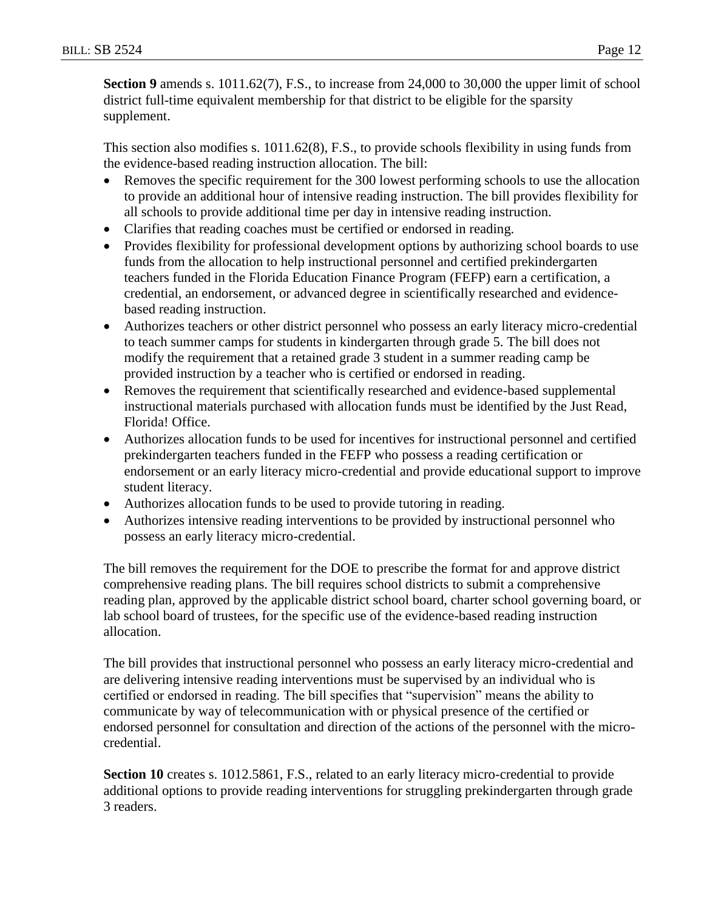**Section 9** amends s. 1011.62(7), F.S., to increase from 24,000 to 30,000 the upper limit of school district full-time equivalent membership for that district to be eligible for the sparsity supplement.

This section also modifies s. 1011.62(8), F.S., to provide schools flexibility in using funds from the evidence-based reading instruction allocation. The bill:

- Removes the specific requirement for the 300 lowest performing schools to use the allocation to provide an additional hour of intensive reading instruction. The bill provides flexibility for all schools to provide additional time per day in intensive reading instruction.
- Clarifies that reading coaches must be certified or endorsed in reading.
- Provides flexibility for professional development options by authorizing school boards to use funds from the allocation to help instructional personnel and certified prekindergarten teachers funded in the Florida Education Finance Program (FEFP) earn a certification, a credential, an endorsement, or advanced degree in scientifically researched and evidencebased reading instruction.
- Authorizes teachers or other district personnel who possess an early literacy micro-credential to teach summer camps for students in kindergarten through grade 5. The bill does not modify the requirement that a retained grade 3 student in a summer reading camp be provided instruction by a teacher who is certified or endorsed in reading.
- Removes the requirement that scientifically researched and evidence-based supplemental instructional materials purchased with allocation funds must be identified by the Just Read, Florida! Office.
- Authorizes allocation funds to be used for incentives for instructional personnel and certified prekindergarten teachers funded in the FEFP who possess a reading certification or endorsement or an early literacy micro-credential and provide educational support to improve student literacy.
- Authorizes allocation funds to be used to provide tutoring in reading.
- Authorizes intensive reading interventions to be provided by instructional personnel who possess an early literacy micro-credential.

The bill removes the requirement for the DOE to prescribe the format for and approve district comprehensive reading plans. The bill requires school districts to submit a comprehensive reading plan, approved by the applicable district school board, charter school governing board, or lab school board of trustees, for the specific use of the evidence-based reading instruction allocation.

The bill provides that instructional personnel who possess an early literacy micro-credential and are delivering intensive reading interventions must be supervised by an individual who is certified or endorsed in reading. The bill specifies that "supervision" means the ability to communicate by way of telecommunication with or physical presence of the certified or endorsed personnel for consultation and direction of the actions of the personnel with the microcredential.

**Section 10** creates s. 1012.5861, F.S., related to an early literacy micro-credential to provide additional options to provide reading interventions for struggling prekindergarten through grade 3 readers.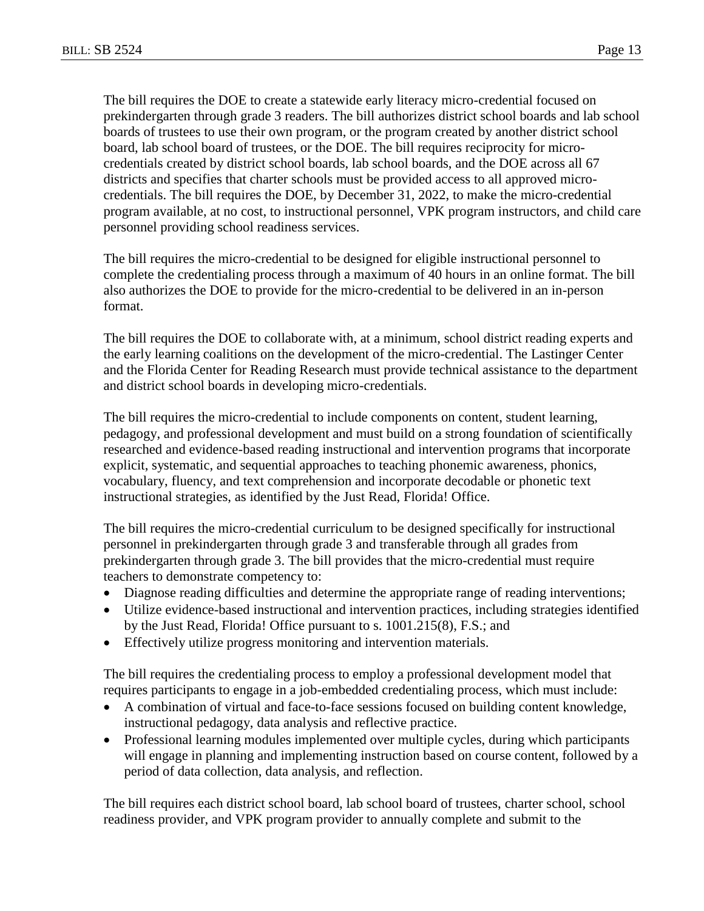The bill requires the DOE to create a statewide early literacy micro-credential focused on prekindergarten through grade 3 readers. The bill authorizes district school boards and lab school boards of trustees to use their own program, or the program created by another district school board, lab school board of trustees, or the DOE. The bill requires reciprocity for microcredentials created by district school boards, lab school boards, and the DOE across all 67 districts and specifies that charter schools must be provided access to all approved microcredentials. The bill requires the DOE, by December 31, 2022, to make the micro-credential program available, at no cost, to instructional personnel, VPK program instructors, and child care personnel providing school readiness services.

The bill requires the micro-credential to be designed for eligible instructional personnel to complete the credentialing process through a maximum of 40 hours in an online format. The bill also authorizes the DOE to provide for the micro-credential to be delivered in an in-person format.

The bill requires the DOE to collaborate with, at a minimum, school district reading experts and the early learning coalitions on the development of the micro-credential. The Lastinger Center and the Florida Center for Reading Research must provide technical assistance to the department and district school boards in developing micro-credentials.

The bill requires the micro-credential to include components on content, student learning, pedagogy, and professional development and must build on a strong foundation of scientifically researched and evidence-based reading instructional and intervention programs that incorporate explicit, systematic, and sequential approaches to teaching phonemic awareness, phonics, vocabulary, fluency, and text comprehension and incorporate decodable or phonetic text instructional strategies, as identified by the Just Read, Florida! Office.

The bill requires the micro-credential curriculum to be designed specifically for instructional personnel in prekindergarten through grade 3 and transferable through all grades from prekindergarten through grade 3. The bill provides that the micro-credential must require teachers to demonstrate competency to:

- Diagnose reading difficulties and determine the appropriate range of reading interventions;
- Utilize evidence-based instructional and intervention practices, including strategies identified by the Just Read, Florida! Office pursuant to s. 1001.215(8), F.S.; and
- Effectively utilize progress monitoring and intervention materials.

The bill requires the credentialing process to employ a professional development model that requires participants to engage in a job-embedded credentialing process, which must include:

- A combination of virtual and face-to-face sessions focused on building content knowledge, instructional pedagogy, data analysis and reflective practice.
- Professional learning modules implemented over multiple cycles, during which participants will engage in planning and implementing instruction based on course content, followed by a period of data collection, data analysis, and reflection.

The bill requires each district school board, lab school board of trustees, charter school, school readiness provider, and VPK program provider to annually complete and submit to the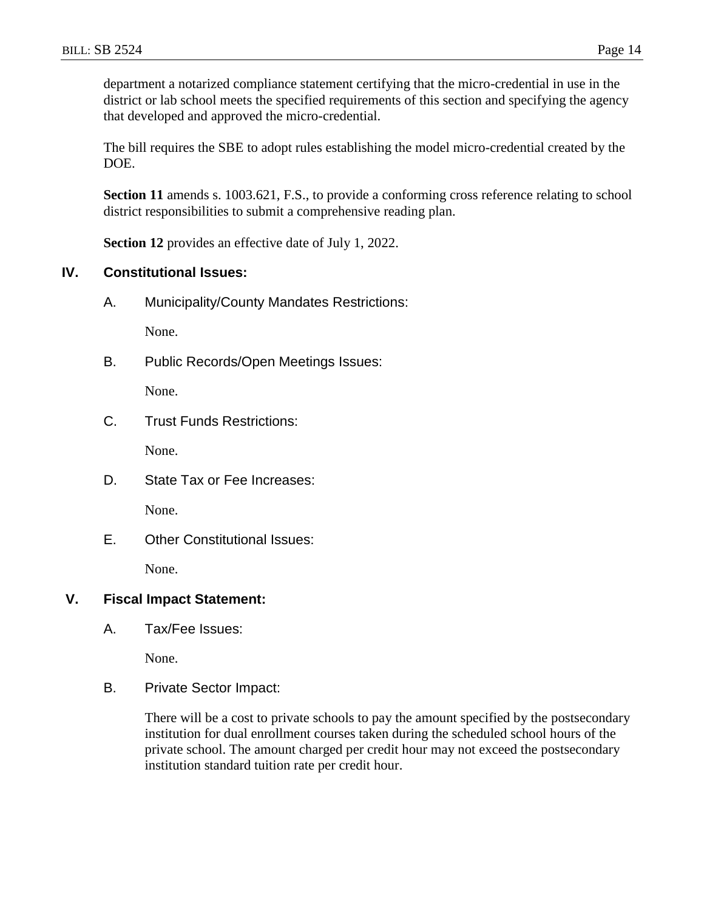department a notarized compliance statement certifying that the micro-credential in use in the district or lab school meets the specified requirements of this section and specifying the agency that developed and approved the micro-credential.

The bill requires the SBE to adopt rules establishing the model micro-credential created by the DOE.

**Section 11** amends s. 1003.621, F.S., to provide a conforming cross reference relating to school district responsibilities to submit a comprehensive reading plan.

**Section 12** provides an effective date of July 1, 2022.

# **IV. Constitutional Issues:**

A. Municipality/County Mandates Restrictions:

None.

B. Public Records/Open Meetings Issues:

None.

C. Trust Funds Restrictions:

None.

D. State Tax or Fee Increases:

None.

E. Other Constitutional Issues:

None.

# **V. Fiscal Impact Statement:**

A. Tax/Fee Issues:

None.

B. Private Sector Impact:

There will be a cost to private schools to pay the amount specified by the postsecondary institution for dual enrollment courses taken during the scheduled school hours of the private school. The amount charged per credit hour may not exceed the postsecondary institution standard tuition rate per credit hour.